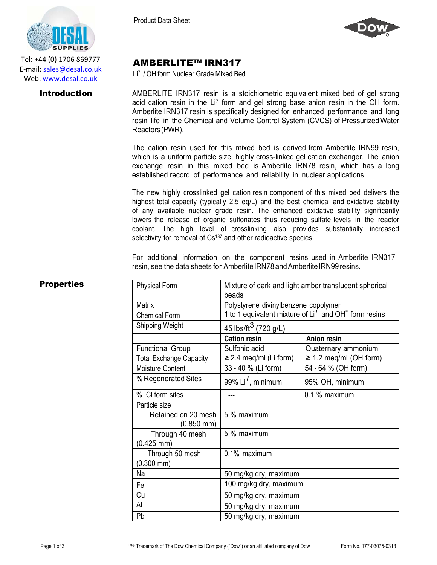

Tel: +44 (0) 1706 869777 E‐mail: sales@desal.co.uk Web: www.desal.co.uk

Product Data Sheet



## AMBERLITE™ IRN317

Li7 / OH form Nuclear Grade Mixed Bed

**Introduction** AMBERLITE IRN317 resin is a stoichiometric equivalent mixed bed of gel strong acid cation resin in the Li<sup>7</sup> form and gel strong base anion resin in the OH form. Amberlite IRN317 resin is specifically designed for enhanced performance and long resin life in the Chemical and Volume Control System (CVCS) of PressurizedWater Reactors(PWR).

> The cation resin used for this mixed bed is derived from Amberlite IRN99 resin, which is a uniform particle size, highly cross-linked gel cation exchanger. The anion exchange resin in this mixed bed is Amberlite IRN78 resin, which has a long established record of performance and reliability in nuclear applications.

> The new highly crosslinked gel cation resin component of this mixed bed delivers the highest total capacity (typically 2.5 eq/L) and the best chemical and oxidative stability of any available nuclear grade resin. The enhanced oxidative stability significantly lowers the release of organic sulfonates thus reducing sulfate levels in the reactor coolant. The high level of crosslinking also provides substantially increased selectivity for removal of Cs<sup>137</sup> and other radioactive species.

For additional information on the component resins used in Amberlite IRN317 resin, see the data sheets for Amberlite IRN78 and Amberlite IRN99 resins.

| <b>Properties</b> | <b>Physical Form</b>                   | Mixture of dark and light amber translucent spherical            |                             |
|-------------------|----------------------------------------|------------------------------------------------------------------|-----------------------------|
|                   |                                        | beads                                                            |                             |
|                   | Matrix                                 | Polystyrene divinylbenzene copolymer                             |                             |
|                   | <b>Chemical Form</b>                   | 1 to 1 equivalent mixture of Li' and OH <sup>-</sup> form resins |                             |
|                   | Shipping Weight                        | 45 lbs/ft <sup>3</sup> (720 g/L)                                 |                             |
|                   |                                        | <b>Cation resin</b>                                              | <b>Anion resin</b>          |
|                   | <b>Functional Group</b>                | Sulfonic acid                                                    | Quaternary ammonium         |
|                   | <b>Total Exchange Capacity</b>         | $\geq$ 2.4 meq/ml (Li form)                                      | $\geq$ 1.2 meq/ml (OH form) |
|                   | Moisture Content                       | 33 - 40 % (Li form)                                              | 54 - 64 % (OH form)         |
|                   | % Regenerated Sites                    | 99% $Li7$ , minimum                                              | 95% OH, minimum             |
|                   | % CI form sites                        |                                                                  | 0.1 % maximum               |
|                   | Particle size                          |                                                                  |                             |
|                   | Retained on 20 mesh<br>$(0.850$ mm $)$ | 5 % maximum                                                      |                             |
|                   | Through 40 mesh                        | 5 % maximum                                                      |                             |
|                   | $(0.425 \text{ mm})$                   |                                                                  |                             |
|                   | Through 50 mesh                        | 0.1% maximum                                                     |                             |
|                   | $(0.300$ mm $)$                        |                                                                  |                             |
|                   | Na                                     | 50 mg/kg dry, maximum                                            |                             |
|                   | Fe                                     | 100 mg/kg dry, maximum                                           |                             |
|                   | Cu                                     | 50 mg/kg dry, maximum                                            |                             |
|                   | Al                                     | 50 mg/kg dry, maximum                                            |                             |
|                   | Pb                                     | 50 mg/kg dry, maximum                                            |                             |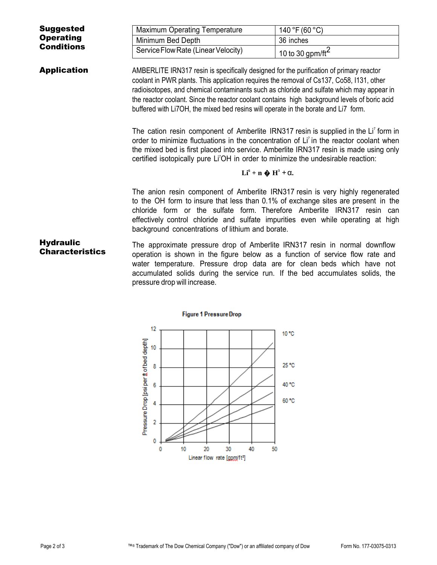| <b>Suggested</b>                           | Maximum Operating Temperature                                                                                                                                                                                                                                                                                                                                                                                                                                          | 140 °F (60 °C)       |  |  |
|--------------------------------------------|------------------------------------------------------------------------------------------------------------------------------------------------------------------------------------------------------------------------------------------------------------------------------------------------------------------------------------------------------------------------------------------------------------------------------------------------------------------------|----------------------|--|--|
| <b>Operating</b>                           | Minimum Bed Depth                                                                                                                                                                                                                                                                                                                                                                                                                                                      | 36 inches            |  |  |
| <b>Conditions</b>                          | Service Flow Rate (Linear Velocity)                                                                                                                                                                                                                                                                                                                                                                                                                                    | 10 to 30 gpm/ft $^2$ |  |  |
| <b>Application</b>                         | AMBERLITE IRN317 resin is specifically designed for the purification of primary reactor<br>coolant in PWR plants. This application requires the removal of Cs137, Co58, 1131, other<br>radioisotopes, and chemical contaminants such as chloride and sulfate which may appear in<br>the reactor coolant. Since the reactor coolant contains high background levels of boric acid<br>buffered with Li7OH, the mixed bed resins will operate in the borate and Li7 form. |                      |  |  |
|                                            | The cation resin component of Amberlite IRN317 resin is supplied in the Li' form in<br>order to minimize fluctuations in the concentration of Li <sup>7</sup> in the reactor coolant when<br>the mixed bed is first placed into service. Amberlite IRN317 resin is made using only<br>certified isotopically pure Li <sup>7</sup> OH in order to minimize the undesirable reaction:                                                                                    |                      |  |  |
|                                            | $Li^6 + n \cdot \bullet H^3 + \alpha.$                                                                                                                                                                                                                                                                                                                                                                                                                                 |                      |  |  |
|                                            | The anion resin component of Amberlite IRN317 resin is very highly regenerated<br>to the OH form to insure that less than 0.1% of exchange sites are present in the<br>chloride form or the sulfate form. Therefore Amberlite IRN317 resin can<br>effectively control chloride and sulfate impurities even while operating at high<br>background concentrations of lithium and borate.                                                                                 |                      |  |  |
| <b>Hydraulic</b><br><b>Characteristics</b> | The approximate pressure drop of Amberlite IRN317 resin in normal downflow<br>operation is shown in the figure below as a function of service flow rate and<br>water temperature. Pressure drop data are for clean beds which have not<br>accumulated solids during the service run. If the bed accumulates solids, the<br>pressure drop will increase.                                                                                                                |                      |  |  |
|                                            |                                                                                                                                                                                                                                                                                                                                                                                                                                                                        |                      |  |  |